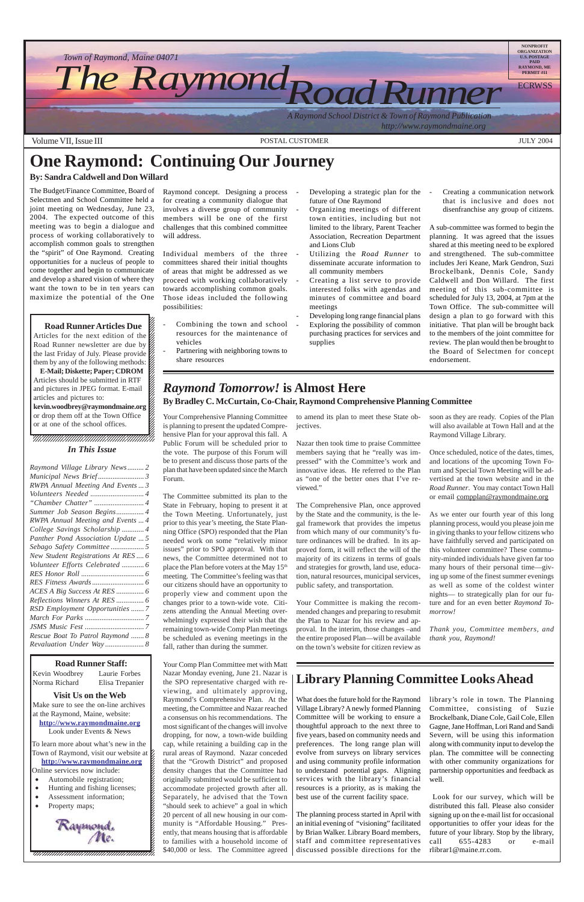12345678901234567890123456789012123456789012345678

 $\blacksquare$ 

- Automobile registration;
- Hunting and fishing licenses;
- Assessment information;
- Property maps; 12345678901234567890123456789012123456789012345678





Articles for the next edition of the  $\mathscr{C}$  $1235678901234567890123456789012345678901234567890123456789012345678901234567890123456789012345678901234567890123456789012345678901234567890123456789012345678901234567890123456789012345678901234567890123456789012345678901$ Road Runner newsletter are due by  $\%$  $1235678901234587890123456789012345678901234567890123456789012345678901234567890123456789012345678901234567890123456789012345678901234567890123456789012345678901234567890123456789012345678901234567890123456789012345678901$ the last Friday of July. Please provide  $\%$ them by any of the following methods:  $\mathscr{L}$ 12345678901234567890123456789012123456789012345678

**E-Mail; Diskette; Paper; CDROM** Articles should be submitted in RTF  $1235678901234567890123456789012345678901234567890123456789012345678901234567890123456789012345678901234567890123456789012345678901234567890123456789012345678901234567890123456789012345678901234567890123456789012345678901$ and pictures in JPEG format. E-mail  $\%$ articles and pictures to:  $1235678901234567890123456789012345678901234567890123456789012345678901234567890123456789012345678901234567890123456789012345678901234567890123456789012345678901234567890123456789012345678901234567890123456789012345678901$ kevin.woodbrey@raymondmaine.org  $1235678901234587890123456789012345678901234567890123456789012345678901234567890123456789012345678901234567890123456789012345678901234567890123456789012345678901234567890123456789012345678901234567890123456789012345678901$ 

#### **Visit Us on the Web**

Make sure to see the on-line archives at the Raymond, Maine, website: **http://www.raymondmaine.org** Look under Events & News

#### **Road Runner Staff:**

or drop them off at the Town Office  $\%$ or at one of the school offices.  $\mathscr{L}$ 12345678901234567890123456789012123456789012345678

Kevin Woodbrey Laurie Forbes Norma Richard Elisa Trepanier

12345678901234567890123456789012345678901234567890123456789012345678901234567890123456789012345678901234567890 Town of Raymond, visit our website at  $\cancel{\epsilon}$  $123$ **http://www.raymondmaine.org** Online services now include:  $\mathcal{E}$ To learn more about what's new in the

- Developing a strategic plan for the future of One Raymond
- Organizing meetings of different town entities, including but not limited to the library, Parent Teacher Association, Recreation Department and Lions Club
- Utilizing the *Road Runner* to disseminate accurate information to all community members
- Creating a list serve to provide interested folks with agendas and minutes of committee and board meetings
- Developing long range financial plans Exploring the possibility of common purchasing practices for services and supplies

Creating a communication network that is inclusive and does not disenfranchise any group of citizens.

12345678901234567890123456789012123456789012345678

 $$40,000$  or less. The Committee agreed | discussed possible directions for the Your Comp Plan Committee met with Matt Nazar Monday evening, June 21. Nazar is the SPO representative charged with reviewing, and ultimately approving, Raymond's Comprehensive Plan. At the meeting, the Committee and Nazar reached a consensus on his recommendations. The most significant of the changes will involve dropping, for now, a town-wide building cap, while retaining a building cap in the rural areas of Raymond. Nazar conceded that the "Growth District" and proposed density changes that the Committee had originally submitted would be sufficient to accommodate projected growth after all. Separately, he advised that the Town "should seek to achieve" a goal in which 20 percent of all new housing in our community is "Affordable Housing." Presently, that means housing that is affordable to families with a household income of

### **Library Planning Committee Looks Ahead**

What does the future hold for the Raymond Village Library? A newly formed Planning Committee will be working to ensure a thoughtful approach to the next three to five years, based on community needs and preferences. The long range plan will evolve from surveys on library services and using community profile information to understand potential gaps. Aligning services with the library's financial resources is a priority, as is making the best use of the current facility space.

The planning process started in April with an initial evening of "visioning" facilitated by Brian Walker. Library Board members, staff and committee representatives library's role in town. The Planning Committee, consisting of Suzie Brockelbank, Diane Cole, Gail Cole, Ellen Gagne, Jane Hoffman, Lori Rand and Sandi Severn, will be using this information along with community input to develop the plan. The committee will be connecting with other community organizations for partnership opportunities and feedback as well.

 Look for our survey, which will be distributed this fall. Please also consider signing up on the e-mail list for occasional opportunities to offer your ideas for the future of your library. Stop by the library, call 655-4283 or e-mail rlibrar1@maine.rr.com.

# **One Raymond: Continuing Our Journey**

### **By: Sandra Caldwell and Don Willard**

- Combining the town and school resources for the maintenance of vehicles
- Partnering with neighboring towns to share resources

The Budget/Finance Committee, Board of Selectmen and School Committee held a joint meeting on Wednesday, June 23, 2004. The expected outcome of this meeting was to begin a dialogue and process of working collaboratively to accomplish common goals to strengthen the "spirit" of One Raymond. Creating opportunities for a nucleus of people to come together and begin to communicate and develop a shared vision of where they want the town to be in ten years can maximize the potential of the One

#### 12345678901234567890123456789012345678901234567890123456789012345678901234567890123456789012345678901234567890 12345678901234567890123456789012123456789012345678  $1235678901234567890123456789012345678901234567890123456789012345678901234567890123456789012345678901234567890123456789012345678901234567890123456789012345678901234567890123456789012345678901234567890123456789012345678901$  $1235678901234567890123456789012345678901234567890123456789012345678901234567890123456789012345678901234567890123456789012345678901234567890123456789012345678901234567890123456789012345678901234567890123456789012345678901$ **Road Runner Articles Due**

A sub-committee was formed to begin the planning. It was agreed that the issues shared at this meeting need to be explored and strengthened. The sub-committee includes Jeri Keane, Mark Gendron, Suzi Brockelbank, Dennis Cole, Sandy Caldwell and Don Willard. The first meeting of this sub-committee is scheduled for July 13, 2004, at 7pm at the Town Office. The sub-committee will design a plan to go forward with this initiative. That plan will be brought back to the members of the joint committee for review. The plan would then be brought to the Board of Selectmen for concept endorsement.

#### 1 8 12345678901234567890123456789012123456789012345678 12345678901234567890123456789012123456789012345678 *In This Issue*

# *Raymond Tomorrow!* **is Almost Here**

**By Bradley C. McCurtain, Co-Chair, Raymond Comprehensive Planning Committee**

Your Comprehensive Planning Committee is planning to present the updated Comprehensive Plan for your approval this fall. A Public Forum will be scheduled prior to the vote. The purpose of this Forum will be to present and discuss those parts of the plan that have been updated since the March Forum.

The Committee submitted its plan to the State in February, hoping to present it at the Town Meeting. Unfortunately, just prior to this year's meeting, the State Planning Office (SPO) responded that the Plan needed work on some "relatively minor issues" prior to SPO approval. With that news, the Committee determined not to place the Plan before voters at the May 15<sup>th</sup> meeting. The Committee's feeling was that our citizens should have an opportunity to properly view and comment upon the changes prior to a town-wide vote. Citizens attending the Annual Meeting overwhelmingly expressed their wish that the remaining town-wide Comp Plan meetings be scheduled as evening meetings in the fall, rather than during the summer.

to amend its plan to meet these State objectives.

Nazar then took time to praise Committee members saying that he "really was impressed" with the Committee's work and innovative ideas. He referred to the Plan as "one of the better ones that I've reviewed."

The Comprehensive Plan, once approved by the State and the community, is the legal framework that provides the impetus from which many of our community's future ordinances will be drafted. In its approved form, it will reflect the will of the majority of its citizens in terms of goals and strategies for growth, land use, education, natural resources, municipal services, public safety, and transportation.

Your Committee is making the recommended changes and preparing to resubmit the Plan to Nazar for his review and approval. In the interim, those changes –and the entire proposed Plan—will be available on the town's website for citizen review as

soon as they are ready. Copies of the Plan will also available at Town Hall and at the Raymond Village Library.

Once scheduled, notice of the dates, times, and locations of the upcoming Town Forum and Special Town Meeting will be advertised at the town website and in the *Road Runner*. You may contact Town Hall or email compplan@raymondmaine.org

As we enter our fourth year of this long planning process, would you please join me in giving thanks to your fellow citizens who have faithfully served and participated on this volunteer committee? These community-minded individuals have given far too many hours of their personal time—giving up some of the finest summer evenings as well as some of the coldest winter nights— to strategically plan for our future and for an even better *Raymond Tomorrow!*

*Thank you, Committee members, and thank you, Raymond!*

| Raymond Village Library News 2     |  |
|------------------------------------|--|
|                                    |  |
| RWPA Annual Meeting And Events  3  |  |
|                                    |  |
|                                    |  |
| Summer Job Season Begins 4         |  |
| RWPA Annual Meeting and Events  4  |  |
| College Savings Scholarship  4     |  |
| Panther Pond Association Update  5 |  |
|                                    |  |
|                                    |  |
| New Student Registrations At RES 6 |  |
| Volunteer Efforts Celebrated  6    |  |
|                                    |  |
|                                    |  |
|                                    |  |
| Reflections Winners At RES  6      |  |
| RSD Employment Opportunities  7    |  |
|                                    |  |
|                                    |  |
| Rescue Boat To Patrol Raymond  8   |  |
| Revaluation Under Way 8            |  |
|                                    |  |

Raymond concept. Designing a process for creating a community dialogue that involves a diverse group of community members will be one of the first challenges that this combined committee will address.

Individual members of the three committees shared their initial thoughts of areas that might be addressed as we proceed with working collaboratively towards accomplishing common goals. Those ideas included the following possibilities: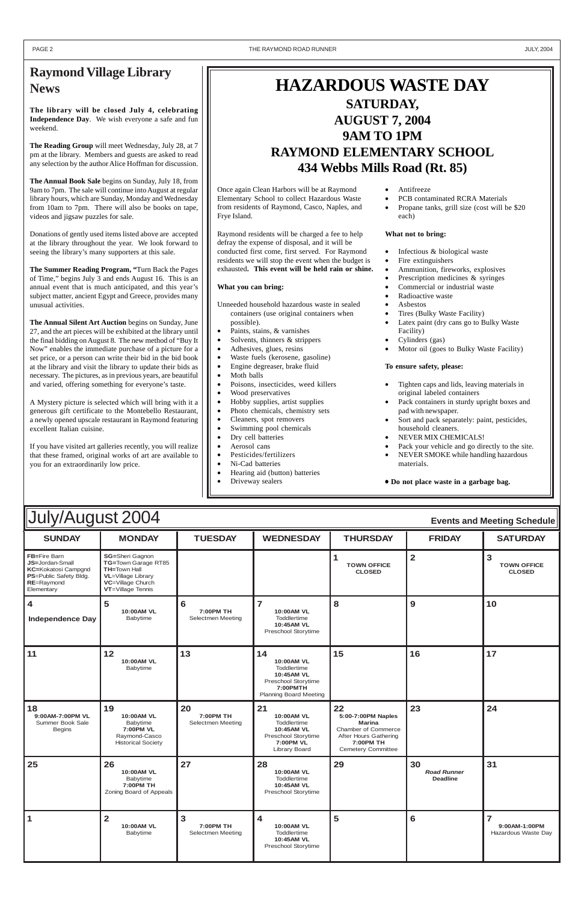| July/August 2004<br><b>Events and Meeting Schedule</b>                                                                            |                                                                                                                                              |                                             |                                                                                                                   |                                                                                                                                     |                                             |                                                        |  |
|-----------------------------------------------------------------------------------------------------------------------------------|----------------------------------------------------------------------------------------------------------------------------------------------|---------------------------------------------|-------------------------------------------------------------------------------------------------------------------|-------------------------------------------------------------------------------------------------------------------------------------|---------------------------------------------|--------------------------------------------------------|--|
| <b>SUNDAY</b>                                                                                                                     | <b>MONDAY</b>                                                                                                                                | <b>TUESDAY</b>                              | <b>WEDNESDAY</b>                                                                                                  | <b>THURSDAY</b>                                                                                                                     | <b>FRIDAY</b>                               | <b>SATURDAY</b>                                        |  |
| FB=Fire Barn<br><b>JS=Jordan-Small</b><br><b>KC=Kokatosi Campgnd</b><br><b>PS=Public Safety Bldg.</b><br>RE=Raymond<br>Elementary | <b>SG=Sheri Gagnon</b><br>TG=Town Garage RT85<br><b>TH=Town Hall</b><br><b>VL</b> =Village Library<br>VC=Village Church<br>VT=Village Tennis |                                             |                                                                                                                   | 1<br><b>TOWN OFFICE</b><br><b>CLOSED</b>                                                                                            | $\overline{\mathbf{2}}$                     | $\mathbf{3}$<br><b>TOWN OFFICE</b><br><b>CLOSED</b>    |  |
| $\overline{\mathbf{4}}$<br><b>Independence Day</b>                                                                                | 5<br>10:00AM VL<br>Babytime                                                                                                                  | 6<br><b>7:00PM TH</b><br>Selectmen Meeting  | $\overline{\mathbf{z}}$<br><b>10:00AM VL</b><br>Toddlertime<br>10:45AM VL<br>Preschool Storytime                  | 8                                                                                                                                   | 9                                           | 10                                                     |  |
| 11                                                                                                                                | 12<br>10:00AM VL<br>Babytime                                                                                                                 | 13                                          | 14<br>10:00AM VL<br>Toddlertime<br>10:45AM VL<br>Preschool Storytime<br>7:00PMTH<br><b>Planning Board Meeting</b> | 15                                                                                                                                  | 16                                          | 17                                                     |  |
| 18<br>9:00AM-7:00PM VL<br>Summer Book Sale<br><b>Begins</b>                                                                       | 19<br>10:00AM VL<br>Babytime<br>7:00PM VL<br>Raymond-Casco<br><b>Historical Society</b>                                                      | 20<br><b>7:00PM TH</b><br>Selectmen Meeting | 21<br>10:00AM VL<br>Toddlertime<br>10:45AM VL<br>Preschool Storytime<br><b>7:00PM VL</b><br><b>Library Board</b>  | 22<br>5:00-7:00PM Naples<br><b>Marina</b><br>Chamber of Commerce<br>After Hours Gathering<br>7:00PM TH<br><b>Cemetery Committee</b> | 23                                          | 24                                                     |  |
| 25                                                                                                                                | 26<br>10:00AM VL<br>Babytime<br>7:00PM TH<br>Zoning Board of Appeals                                                                         | 27                                          | 28<br>10:00AM VL<br>Toddlertime<br>10:45AM VL<br>Preschool Storytime                                              | 29                                                                                                                                  | 30<br><b>Road Runner</b><br><b>Deadline</b> | 31                                                     |  |
| $\mathbf 1$                                                                                                                       | $\overline{2}$<br>10:00AM VL<br>Babytime                                                                                                     | 3<br>7:00PM TH<br>Selectmen Meeting         | 4<br>10:00AM VL<br>Toddlertime<br>10:45AM VL<br>Preschool Storytime                                               | 5                                                                                                                                   | $6\phantom{1}6$                             | $\overline{7}$<br>9:00AM-1:00PM<br>Hazardous Waste Day |  |

### **Raymond Village Library News**

**The library will be closed July 4, celebrating Independence Day**. We wish everyone a safe and fun weekend.

**The Reading Group** will meet Wednesday, July 28, at 7 pm at the library. Members and guests are asked to read any selection by the author Alice Hoffman for discussion.

**The Annual Book Sale** begins on Sunday, July 18, from 9am to 7pm. The sale will continue into August at regular library hours, which are Sunday, Monday and Wednesday from 10am to 7pm. There will also be books on tape, videos and jigsaw puzzles for sale.

- Unneeded household hazardous waste in sealed containers (use original containers when possible).
- Paints, stains, & varnishes
- Solvents, thinners & strippers
- Adhesives, glues, resins
- Waste fuels (kerosene, gasoline)
- Engine degreaser, brake fluid
- Moth balls
- Poisons, insecticides, weed killers
- Wood preservatives
- Hobby supplies, artist supplies
- Photo chemicals, chemistry sets
- Cleaners, spot removers
- Swimming pool chemicals
- Dry cell batteries
- Aerosol cans
- Pesticides/fertilizers
- Ni-Cad batteries
- Hearing aid (button) batteries
- Driveway sealers

Donations of gently used items listed above are accepted at the library throughout the year. We look forward to seeing the library's many supporters at this sale.

**The Summer Reading Program, "**Turn Back the Pages of Time," begins July 3 and ends August 16. This is an annual event that is much anticipated, and this year's subject matter, ancient Egypt and Greece, provides many unusual activities.

- Infectious & biological waste
- Fire extinguishers
- Ammunition, fireworks, explosives
- Prescription medicines & syringes
- Commercial or industrial waste
- Radioactive waste
- Asbestos
- Tires (Bulky Waste Facility)
- Latex paint (dry cans go to Bulky Waste Facility)
- Cylinders (gas)
- Motor oil (goes to Bulky Waste Facility)

**The Annual Silent Art Auction** begins on Sunday, June 27, and the art pieces will be exhibited at the library until the final bidding on August 8. The new method of "Buy It Now" enables the immediate purchase of a picture for a set price, or a person can write their bid in the bid book at the library and visit the library to update their bids as necessary. The pictures, as in previous years, are beautiful and varied, offering something for everyone's taste.

A Mystery picture is selected which will bring with it a generous gift certificate to the Montebello Restaurant, a newly opened upscale restaurant in Raymond featuring excellent Italian cuisine.

If you have visited art galleries recently, you will realize that these framed, original works of art are available to you for an extraordinarily low price.

## **HAZARDOUS WASTE DAY SATURDAY, AUGUST 7, 2004 9AM TO 1PM RAYMOND ELEMENTARY SCHOOL 434 Webbs Mills Road (Rt. 85)**

Once again Clean Harbors will be at Raymond Elementary School to collect Hazardous Waste from residents of Raymond, Casco, Naples, and Frye Island.

Raymond residents will be charged a fee to help defray the expense of disposal, and it will be conducted first come, first served. For Raymond residents we will stop the event when the budget is exhausted**. This event will be held rain or shine.**

#### **What you can bring:**

- Antifreeze
- PCB contaminated RCRA Materials
- Propane tanks, grill size (cost will be \$20 each)

#### **What not to bring:**

#### **To ensure safety, please:**

- Tighten caps and lids, leaving materials in original labeled containers
- Pack containers in sturdy upright boxes and pad with newspaper.
- Sort and pack separately: paint, pesticides, household cleaners.
- NEVER MIX CHEMICALS!
- Pack your vehicle and go directly to the site.
- NEVER SMOKE while handling hazardous materials.

• **Do not place waste in a garbage bag.**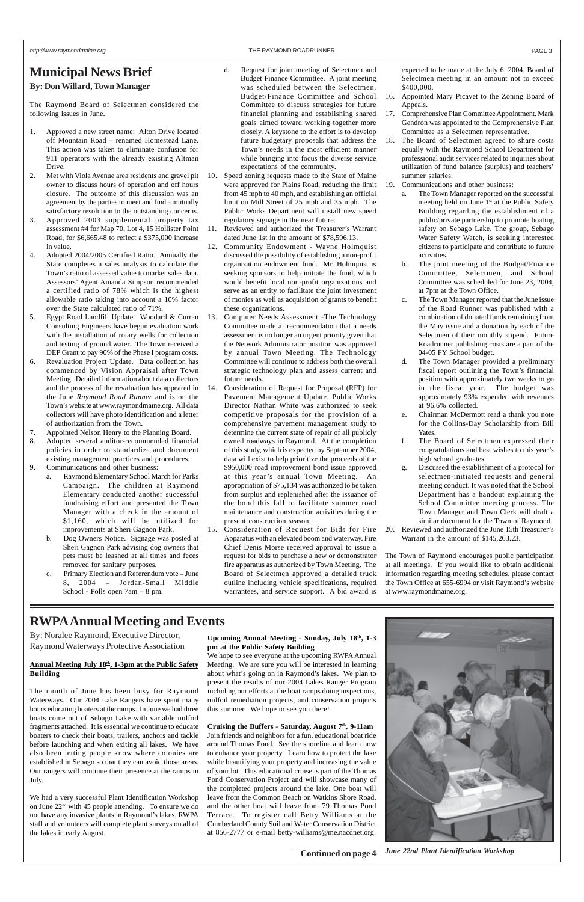### **Municipal News Brief**

### **By: Don Willard, Town Manager**

The Raymond Board of Selectmen considered the following issues in June.

- 1. Approved a new street name: Alton Drive located off Mountain Road – renamed Homestead Lane. This action was taken to eliminate confusion for 911 operators with the already existing Altman Drive.
- 2. Met with Viola Avenue area residents and gravel pit owner to discuss hours of operation and off hours closure. The outcome of this discussion was an agreement by the parties to meet and find a mutually satisfactory resolution to the outstanding concerns.
- 3. Approved 2003 supplemental property tax assessment #4 for Map 70, Lot 4, 15 Hollister Point Road, for \$6,665.48 to reflect a \$375,000 increase in value.
- 4. Adopted 2004/2005 Certified Ratio. Annually the State completes a sales analysis to calculate the Town's ratio of assessed value to market sales data. Assessors' Agent Amanda Simpson recommended a certified ratio of 78% which is the highest allowable ratio taking into account a 10% factor over the State calculated ratio of 71%.
- 5. Egypt Road Landfill Update. Woodard & Curran Consulting Engineers have begun evaluation work with the installation of rotary wells for collection and testing of ground water. The Town received a DEP Grant to pay 90% of the Phase I program costs.
- 6. Revaluation Project Update. Data collection has commenced by Vision Appraisal after Town Meeting. Detailed information about data collectors and the process of the revaluation has appeared in the June *Raymond Road Runner* and is on the Town's website at www.raymondmaine.org. All data collectors will have photo identification and a letter of authorization from the Town.
- 7. Appointed Nelson Henry to the Planning Board.
- 8. Adopted several auditor-recommended financial policies in order to standardize and document existing management practices and procedures.
- 9. Communications and other business:
	- a. Raymond Elementary School March for Parks Campaign. The children at Raymond Elementary conducted another successful fundraising effort and presented the Town Manager with a check in the amount of \$1,160, which will be utilized for improvements at Sheri Gagnon Park.
	- b. Dog Owners Notice. Signage was posted at Sheri Gagnon Park advising dog owners that pets must be leashed at all times and feces removed for sanitary purposes.
	- c. Primary Election and Referendum vote June 8, 2004 – Jordan-Small Middle School - Polls open 7am – 8 pm.
- d. Request for joint meeting of Selectmen and Budget Finance Committee. A joint meeting was scheduled between the Selectmen, Budget/Finance Committee and School Committee to discuss strategies for future financial planning and establishing shared goals aimed toward working together more closely. A keystone to the effort is to develop future budgetary proposals that address the Town's needs in the most efficient manner while bringing into focus the diverse service expectations of the community.
- 10. Speed zoning requests made to the State of Maine were approved for Plains Road, reducing the limit from 45 mph to 40 mph, and establishing an official limit on Mill Street of 25 mph and 35 mph. The Public Works Department will install new speed regulatory signage in the near future.
- 11. Reviewed and authorized the Treasurer's Warrant dated June 1st in the amount of \$78,596.13.
- 12. Community Endowment Wayne Holmquist discussed the possibility of establishing a non-profit organization endowment fund. Mr. Holmquist is seeking sponsors to help initiate the fund, which would benefit local non-profit organizations and serve as an entity to facilitate the joint investment of monies as well as acquisition of grants to benefit these organizations.
- 13. Computer Needs Assessment -The Technology Committee made a recommendation that a needs assessment is no longer an urgent priority given that the Network Administrator position was approved by annual Town Meeting. The Technology Committee will continue to address both the overall strategic technology plan and assess current and future needs.
- 14. Consideration of Request for Proposal (RFP) for Pavement Management Update. Public Works Director Nathan White was authorized to seek competitive proposals for the provision of a comprehensive pavement management study to determine the current state of repair of all publicly owned roadways in Raymond. At the completion of this study, which is expected by September 2004, data will exist to help prioritize the proceeds of the \$950,000 road improvement bond issue approved at this year's annual Town Meeting. An appropriation of \$75,134 was authorized to be taken from surplus and replenished after the issuance of the bond this fall to facilitate summer road maintenance and construction activities during the present construction season.
- 15. Consideration of Request for Bids for Fire Apparatus with an elevated boom and waterway. Fire Chief Denis Morse received approval to issue a request for bids to purchase a new or demonstrator fire apparatus as authorized by Town Meeting. The Board of Selectmen approved a detailed truck outline including vehicle specifications, required warrantees, and service support. A bid award is

expected to be made at the July 6, 2004, Board of Selectmen meeting in an amount not to exceed \$400,000.

- 16. Appointed Mary Picavet to the Zoning Board of Appeals.
- 17. Comprehensive Plan Committee Appointment. Mark Gendron was appointed to the Comprehensive Plan Committee as a Selectmen representative.
- 18. The Board of Selectmen agreed to share costs equally with the Raymond School Department for professional audit services related to inquiries about utilization of fund balance (surplus) and teachers' summer salaries.
- 19. Communications and other business:
	- a. The Town Manager reported on the successful meeting held on June 1<sup>st</sup> at the Public Safety Building regarding the establishment of a public/private partnership to promote boating safety on Sebago Lake. The group, Sebago Water Safety Watch, is seeking interested citizens to participate and contribute to future activities.
	- b. The joint meeting of the Budget/Finance Committee, Selectmen, and School Committee was scheduled for June 23, 2004, at 7pm at the Town Office.
	- c. The Town Manager reported that the June issue of the Road Runner was published with a combination of donated funds remaining from the May issue and a donation by each of the Selectmen of their monthly stipend. Future Roadrunner publishing costs are a part of the 04-05 FY School budget.
	- d. The Town Manager provided a preliminary fiscal report outlining the Town's financial position with approximately two weeks to go in the fiscal year. The budget was approximately 93% expended with revenues at 96.6% collected.
	- e. Chairman McDermott read a thank you note for the Collins-Day Scholarship from Bill Yates.
	- f. The Board of Selectmen expressed their congratulations and best wishes to this year's high school graduates.
	- g. Discussed the establishment of a protocol for selectmen-initiated requests and general meeting conduct. It was noted that the School Department has a handout explaining the School Committee meeting process. The Town Manager and Town Clerk will draft a similar document for the Town of Raymond.
- 20. Reviewed and authorized the June 15th Treasurer's Warrant in the amount of \$145,263.23.

The Town of Raymond encourages public participation at all meetings. If you would like to obtain additional information regarding meeting schedules, please contact the Town Office at 655-6994 or visit Raymond's website at www.raymondmaine.org.

## **RWPA Annual Meeting and Events**

By: Noralee Raymond, Executive Director, Raymond Waterways Protective Association

#### **Annual Meeting July 18th, 1-3pm at the Public Safety Building**

The month of June has been busy for Raymond Waterways. Our 2004 Lake Rangers have spent many hours educating boaters at the ramps. In June we had three boats come out of Sebago Lake with variable milfoil fragments attached. It is essential we continue to educate boaters to check their boats, trailers, anchors and tackle before launching and when exiting all lakes. We have also been letting people know where colonies are established in Sebago so that they can avoid those areas. Our rangers will continue their presence at the ramps in July.

We had a very successful Plant Identification Workshop on June 22nd with 45 people attending. To ensure we do not have any invasive plants in Raymond's lakes, RWPA staff and volunteers will complete plant surveys on all of the lakes in early August.

**Upcoming Annual Meeting - Sunday, July 18th, 1-3 pm at the Public Safety Building**

We hope to see everyone at the upcoming RWPA Annual Meeting. We are sure you will be interested in learning about what's going on in Raymond's lakes. We plan to present the results of our 2004 Lakes Ranger Program including our efforts at the boat ramps doing inspections, milfoil remediation projects, and conservation projects this summer. We hope to see you there!



**Cruising the Buffers - Saturday, August 7th, 9-11am** Join friends and neighbors for a fun, educational boat ride around Thomas Pond. See the shoreline and learn how to enhance your property. Learn how to protect the lake while beautifying your property and increasing the value of your lot. This educational cruise is part of the Thomas Pond Conservation Project and will showcase many of the completed projects around the lake. One boat will leave from the Common Beach on Watkins Shore Road, and the other boat will leave from 79 Thomas Pond Terrace. To register call Betty Williams at the Cumberland County Soil and Water Conservation District at 856-2777 or e-mail betty-williams@me.nacdnet.org.

**Continued on page 4** *June 22nd Plant Identification Workshop*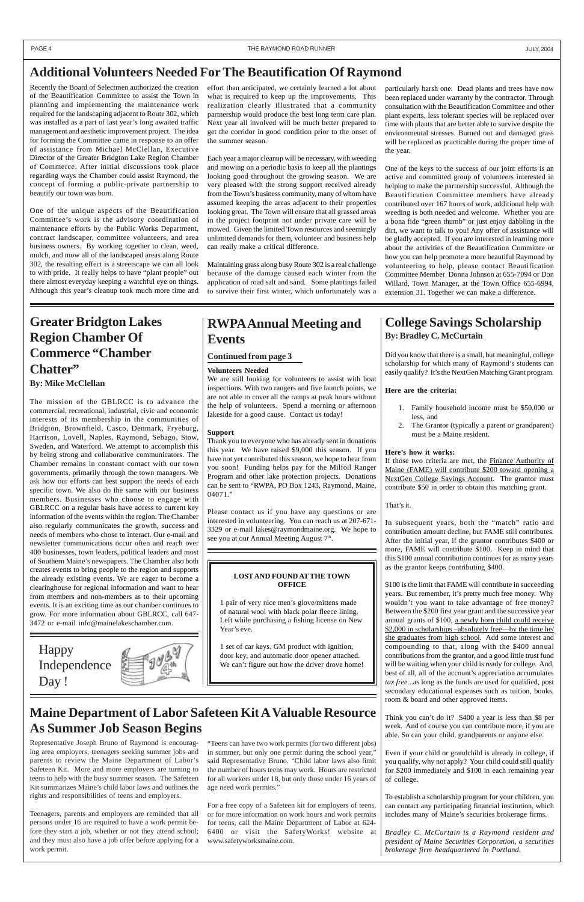### **Additional Volunteers Needed For The Beautification Of Raymond**

Recently the Board of Selectmen authorized the creation of the Beautification Committee to assist the Town in planning and implementing the maintenance work required for the landscaping adjacent to Route 302, which was installed as a part of last year's long awaited traffic management and aesthetic improvement project. The idea for forming the Committee came in response to an offer of assistance from Michael McClellan, Executive Director of the Greater Bridgton Lake Region Chamber of Commerce. After initial discussions took place regarding ways the Chamber could assist Raymond, the concept of forming a public-private partnership to beautify our town was born.

One of the unique aspects of the Beautification Committee's work is the advisory coordination of maintenance efforts by the Public Works Department, contract landscaper, committee volunteers, and area business owners. By working together to clean, weed, mulch, and mow all of the landscaped areas along Route 302, the resulting effect is a streetscape we can all look to with pride. It really helps to have "plant people" out there almost everyday keeping a watchful eye on things. Although this year's cleanup took much more time and

effort than anticipated, we certainly learned a lot about what is required to keep up the improvements. This realization clearly illustrated that a community partnership would produce the best long term care plan. Next year all involved will be much better prepared to get the corridor in good condition prior to the onset of the summer season.

Each year a major cleanup will be necessary, with weeding and mowing on a periodic basis to keep all the plantings looking good throughout the growing season. We are very pleased with the strong support received already from the Town's business community, many of whom have assumed keeping the areas adjacent to their properties looking great. The Town will ensure that all grassed areas in the project footprint not under private care will be mowed. Given the limited Town resources and seemingly unlimited demands for them, volunteer and business help can really make a critical difference.

Maintaining grass along busy Route 302 is a real challenge because of the damage caused each winter from the application of road salt and sand. Some plantings failed to survive their first winter, which unfortunately was a particularly harsh one. Dead plants and trees have now been replaced under warranty by the contractor. Through consultation with the Beautification Committee and other plant experts, less tolerant species will be replaced over time with plants that are better able to survive despite the environmental stresses. Burned out and damaged grass will be replaced as practicable during the proper time of the year.

If those two criteria are met, the Finance Authority of Maine (FAME) will contribute \$200 toward opening a NextGen College Savings Account. The grantor must contribute \$50 in order to obtain this matching grant.

One of the keys to the success of our joint efforts is an active and committed group of volunteers interested in helping to make the partnership successful. Although the Beautification Committee members have already contributed over 167 hours of work, additional help with weeding is both needed and welcome. Whether you are a bona fide "green thumb" or just enjoy dabbling in the dirt, we want to talk to you! Any offer of assistance will be gladly accepted. If you are interested in learning more about the activities of the Beautification Committee or how you can help promote a more beautiful Raymond by volunteering to help, please contact Beautification Committee Member Donna Johnson at 655-7094 or Don Willard, Town Manager, at the Town Office 655-6994, extension 31. Together we can make a difference.

\$100 is the limit that FAME will contribute in succeeding years. But remember, it's pretty much free money. Why wouldn't you want to take advantage of free money? Between the \$200 first year grant and the successive year annual grants of \$100, a newly born child could receive \$2,000 in scholarships –absolutely free—by the time he/ she graduates from high school. Add some interest and compounding to that, along with the \$400 annual contributions from the grantor, and a good little trust fund will be waiting when your child is ready for college. And, best of all, all of the account's appreciation accumulates *tax free*...as long as the funds are used for qualified, post secondary educational expenses such as tuition, books, room & board and other approved items.

## **Greater Bridgton Lakes Region Chamber Of Commerce "Chamber Chatter"**

#### **By: Mike McClellan**

Please contact us if you have any questions or are interested in volunteering. You can reach us at 207-671- 3329 or e-mail lakes@raymondmaine.org. We hope to see you at our Annual Meeting August 7<sup>th</sup>.

The mission of the GBLRCC is to advance the commercial, recreational, industrial, civic and economic interests of its membership in the communities of Bridgton, Brownfield, Casco, Denmark, Fryeburg, Harrison, Lovell, Naples, Raymond, Sebago, Stow, Sweden, and Waterford. We attempt to accomplish this by being strong and collaborative communicators. The Chamber remains in constant contact with our town governments, primarily through the town managers. We ask how our efforts can best support the needs of each specific town. We also do the same with our business members. Businesses who choose to engage with GBLRCC on a regular basis have access to current key information of the events within the region. The Chamber also regularly communicates the growth, success and needs of members who chose to interact. Our e-mail and newsletter communications occur often and reach over 400 businesses, town leaders, political leaders and most of Southern Maine's newspapers. The Chamber also both creates events to bring people to the region and supports the already existing events. We are eager to become a clearinghouse for regional information and want to hear from members and non-members as to their upcoming events. It is an exciting time as our chamber continues to grow. For more information about GBLRCC, call 647- 3472 or e-mail info@mainelakeschamber.com.

Independence Day !

We can't figure out how the driver drove home!

### **College Savings Scholarship By: Bradley C. McCurtain**

Did you know that there is a small, but meaningful, college scholarship for which many of Raymond's students can easily qualify? It's the NextGen Matching Grant program.

#### **Here are the criteria:**

- 1. Family household income must be \$50,000 or less, and
- 2. The Grantor (typically a parent or grandparent) must be a Maine resident.

#### **Here's how it works:**

That's it.

In subsequent years, both the "match" ratio and contribution amount decline, but FAME still contributes. After the initial year, if the grantor contributes \$400 or more, FAME will contribute \$100. Keep in mind that this \$100 annual contribution continues for as many years as the grantor keeps contributing \$400.

Think you can't do it? \$400 a year is less than \$8 per week. And of course you can contribute more, if you are able. So can your child, grandparents or anyone else.

Even if your child or grandchild is already in college, if you qualify, why not apply? Your child could still qualify for \$200 immediately and \$100 in each remaining year of college.

To establish a scholarship program for your children, you can contact any participating financial institution, which includes many of Maine's securities brokerage firms.

*Bradley C. McCurtain is a Raymond resident and president of Maine Securities Corporation, a securities brokerage firm headquartered in Portland.*

### **RWPA Annual Meeting and Events**

#### **Volunteers Needed**

We are still looking for volunteers to assist with boat inspections. With two rangers and five launch points, we are not able to cover all the ramps at peak hours without the help of volunteers. Spend a morning or afternoon lakeside for a good cause. Contact us today!

#### **Support**

Thank you to everyone who has already sent in donations this year. We have raised \$9,000 this season. If you have not yet contributed this season, we hope to hear from you soon! Funding helps pay for the Milfoil Ranger Program and other lake protection projects. Donations can be sent to "RWPA, PO Box 1243, Raymond, Maine, 04071."

### **Maine Department of Labor Safeteen Kit A Valuable Resource As Summer Job Season Begins**

Representative Joseph Bruno of Raymond is encouraging area employers, teenagers seeking summer jobs and parents to review the Maine Department of Labor's Safeteen Kit. More and more employers are turning to teens to help with the busy summer season. The Safeteen Kit summarizes Maine's child labor laws and outlines the rights and responsibilities of teens and employers.

Teenagers, parents and employers are reminded that all persons under 16 are required to have a work permit before they start a job, whether or not they attend school; and they must also have a job offer before applying for a work permit.

"Teens can have two work permits (for two different jobs) in summer, but only one permit during the school year,' said Representative Bruno. "Child labor laws also limit the number of hours teens may work. Hours are restricted for all workers under 18, but only those under 16 years of age need work permits."

For a free copy of a Safeteen kit for employers of teens, or for more information on work hours and work permits for teens, call the Maine Department of Labor at 624- 6400 or visit the SafetyWorks! website at www.safetyworksmaine.com.

#### **LOST AND FOUND AT THE TOWN OFFICE**

1 pair of very nice men's glove/mittens made of natural wool with black polar fleece lining. Left while purchasing a fishing license on New Year's eve.

1 set of car keys. GM product with ignition, door key, and automatic door opener attached.

#### **Continued from page 3**

Happy

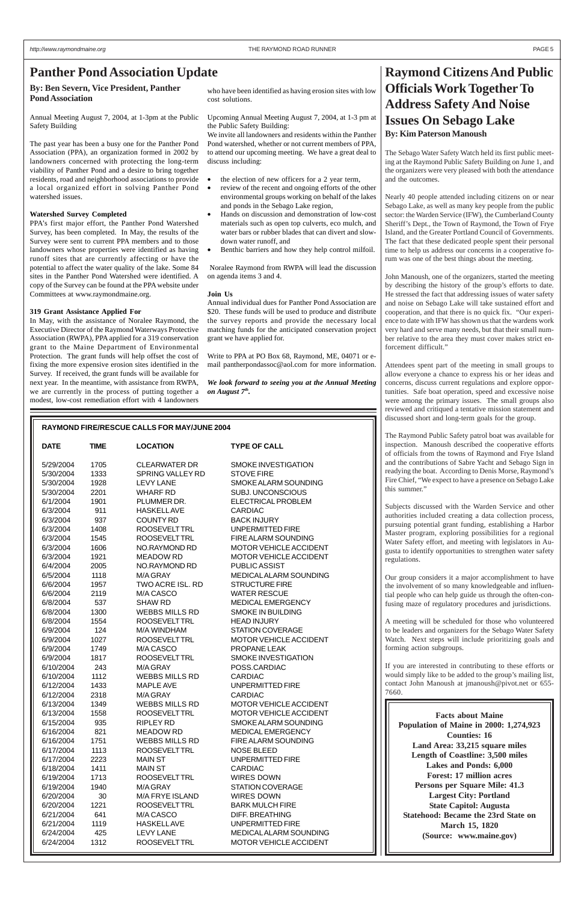### **Panther Pond Association Update**

**By: Ben Severn, Vice President, Panther Pond Association**

Annual Meeting August 7, 2004, at 1-3pm at the Public Safety Building

The past year has been a busy one for the Panther Pond Association (PPA), an organization formed in 2002 by landowners concerned with protecting the long-term viability of Panther Pond and a desire to bring together residents, road and neighborhood associations to provide a local organized effort in solving Panther Pond watershed issues.

#### **Watershed Survey Completed**

PPA's first major effort, the Panther Pond Watershed Survey, has been completed. In May, the results of the Survey were sent to current PPA members and to those landowners whose properties were identified as having runoff sites that are currently affecting or have the potential to affect the water quality of the lake. Some 84 sites in the Panther Pond Watershed were identified. A copy of the Survey can be found at the PPA website under Committees at www.raymondmaine.org.

#### **319 Grant Assistance Applied For**

In May, with the assistance of Noralee Raymond, the Executive Director of the Raymond Waterways Protective Association (RWPA), PPA applied for a 319 conservation grant to the Maine Department of Environmental Protection. The grant funds will help offset the cost of fixing the more expensive erosion sites identified in the Survey. If received, the grant funds will be available for next year. In the meantime, with assistance from RWPA, we are currently in the process of putting together a modest, low-cost remediation effort with 4 landowners

who have been identified as having erosion sites with low cost solutions.

Upcoming Annual Meeting August 7, 2004, at 1-3 pm at the Public Safety Building:

We invite all landowners and residents within the Panther Pond watershed, whether or not current members of PPA, to attend our upcoming meeting. We have a great deal to discuss including:

- the election of new officers for a 2 year term,
- review of the recent and ongoing efforts of the other environmental groups working on behalf of the lakes and ponds in the Sebago Lake region,
- Hands on discussion and demonstration of low-cost materials such as open top culverts, eco mulch, and water bars or rubber blades that can divert and slowdown water runoff, and
- Benthic barriers and how they help control milfoil.

 Noralee Raymond from RWPA will lead the discussion on agenda items 3 and 4.

#### **Join Us**

Annual individual dues for Panther Pond Association are \$20. These funds will be used to produce and distribute the survey reports and provide the necessary local matching funds for the anticipated conservation project grant we have applied for.

Write to PPA at PO Box 68, Raymond, ME, 04071 or email pantherpondassoc@aol.com for more information.

*We look forward to seeing you at the Annual Meeting on August 7th.*

### **Raymond Citizens And Public Officials Work Together To Address Safety And Noise Issues On Sebago Lake By: Kim Paterson Manoush**

The Sebago Water Safety Watch held its first public meeting at the Raymond Public Safety Building on June 1, and the organizers were very pleased with both the attendance and the outcomes.

Nearly 40 people attended including citizens on or near Sebago Lake, as well as many key people from the public sector: the Warden Service (IFW), the Cumberland County Sheriff's Dept., the Town of Raymond, the Town of Frye Island, and the Greater Portland Council of Governments. The fact that these dedicated people spent their personal time to help us address our concerns in a cooperative forum was one of the best things about the meeting.

John Manoush, one of the organizers, started the meeting by describing the history of the group's efforts to date. He stressed the fact that addressing issues of water safety and noise on Sebago Lake will take sustained effort and cooperation, and that there is no quick fix. "Our experience to date with IFW has shown us that the wardens work very hard and serve many needs, but that their small number relative to the area they must cover makes strict enforcement difficult."

Attendees spent part of the meeting in small groups to allow everyone a chance to express his or her ideas and concerns, discuss current regulations and explore opportunities. Safe boat operation, speed and excessive noise were among the primary issues. The small groups also reviewed and critiqued a tentative mission statement and discussed short and long-term goals for the group.

The Raymond Public Safety patrol boat was available for inspection. Manoush described the cooperative efforts of officials from the towns of Raymond and Frye Island and the contributions of Sabre Yacht and Sebago Sign in readying the boat. According to Denis Morse, Raymond's Fire Chief, "We expect to have a presence on Sebago Lake

#### **RAYMOND FIRE/RESCUE CALLS FOR MAY/JUNE 2004**

| <b>DATE</b> | <b>TIME</b> | <b>LOCATION</b>         | <b>TYPE OF CALL</b>        | inspection. Manoush described the cooperative efforts<br>of officials from the towns of Raymond and Frye Island |
|-------------|-------------|-------------------------|----------------------------|-----------------------------------------------------------------------------------------------------------------|
| 5/29/2004   | 1705        | <b>CLEARWATER DR</b>    | <b>SMOKE INVESTIGATION</b> | and the contributions of Sabre Yacht and Sebago Sign in                                                         |
| 5/30/2004   | 1333        | <b>SPRING VALLEY RD</b> | <b>STOVE FIRE</b>          | readying the boat. According to Denis Morse, Raymond's                                                          |
| 5/30/2004   | 1928        | <b>LEVY LANE</b>        | SMOKE ALARM SOUNDING       | Fire Chief, "We expect to have a presence on Sebago Lake                                                        |
| 5/30/2004   | 2201        | <b>WHARF RD</b>         | SUBJ. UNCONSCIOUS          | this summer."                                                                                                   |
| 6/1/2004    | 1901        | PLUMMER DR.             | ELECTRICAL PROBLEM         |                                                                                                                 |
| 6/3/2004    | 911         | <b>HASKELLAVE</b>       | <b>CARDIAC</b>             | Subjects discussed with the Warden Service and other                                                            |
| 6/3/2004    | 937         | <b>COUNTY RD</b>        | <b>BACK INJURY</b>         | authorities included creating a data collection process,                                                        |
| 6/3/2004    | 1408        | ROOSEVELT TRL           | UNPERMITTED FIRE           | pursuing potential grant funding, establishing a Harbor                                                         |
| 6/3/2004    | 1545        | <b>ROOSEVELTTRL</b>     | FIRE ALARM SOUNDING        | Master program, exploring possibilities for a regional                                                          |
| 6/3/2004    | 1606        | NO.RAYMOND RD           | MOTOR VEHICLE ACCIDENT     | Water Safety effort, and meeting with legislators in Au-                                                        |
| 6/3/2004    | 1921        | <b>MEADOW RD</b>        | MOTOR VEHICLE ACCIDENT     | gusta to identify opportunities to strengthen water safety<br>regulations.                                      |
| 6/4/2004    | 2005        | NO.RAYMOND RD           | PUBLIC ASSIST              |                                                                                                                 |
| 6/5/2004    | 1118        | M/A GRAY                | MEDICALALARM SOUNDING      | Our group considers it a major accomplishment to have                                                           |
| 6/6/2004    | 1957        | TWO ACRE ISL. RD        | <b>STRUCTURE FIRE</b>      | the involvement of so many knowledgeable and influen-                                                           |
| 6/6/2004    | 2119        | M/A CASCO               | <b>WATER RESCUE</b>        | tial people who can help guide us through the often-con-                                                        |
| 6/8/2004    | 537         | <b>SHAW RD</b>          | <b>MEDICAL EMERGENCY</b>   | fusing maze of regulatory procedures and jurisdictions.                                                         |
| 6/8/2004    | 1300        | <b>WEBBS MILLS RD</b>   | <b>SMOKE IN BUILDING</b>   |                                                                                                                 |
| 6/8/2004    | 1554        | <b>ROOSEVELTTRL</b>     | <b>HEAD INJURY</b>         | A meeting will be scheduled for those who volunteered                                                           |
| 6/9/2004    | 124         | M/A WINDHAM             | <b>STATION COVERAGE</b>    | to be leaders and organizers for the Sebago Water Safety                                                        |
| 6/9/2004    | 1027        | <b>ROOSEVELTTRL</b>     | MOTOR VEHICLE ACCIDENT     | Watch. Next steps will include prioritizing goals and                                                           |
| 6/9/2004    | 1749        | M/A CASCO               | PROPANE LEAK               | forming action subgroups.                                                                                       |
| 6/9/2004    | 1817        | <b>ROOSEVELTTRL</b>     | <b>SMOKE INVESTIGATION</b> |                                                                                                                 |
| 6/10/2004   | 243         | M/A GRAY                | POSS.CARDIAC               | If you are interested in contributing to these efforts or                                                       |
| 6/10/2004   | 1112        | <b>WEBBS MILLS RD</b>   | <b>CARDIAC</b>             | would simply like to be added to the group's mailing list,                                                      |
| 6/12/2004   | 1433        | <b>MAPLE AVE</b>        | UNPERMITTED FIRE           | contact John Manoush at jmanoush@pivot.net or 655-                                                              |
| 6/12/2004   | 2318        | M/A GRAY                | <b>CARDIAC</b>             | 7660.                                                                                                           |
| 6/13/2004   | 1349        | <b>WEBBS MILLS RD</b>   | MOTOR VEHICLE ACCIDENT     |                                                                                                                 |
| 6/13/2004   | 1558        | <b>ROOSEVELTTRL</b>     | MOTOR VEHICLE ACCIDENT     | <b>Facts about Maine</b>                                                                                        |
| 6/15/2004   | 935         | <b>RIPLEY RD</b>        | SMOKE ALARM SOUNDING       | <b>Population of Maine in 2000: 1,274,923</b>                                                                   |
| 6/16/2004   | 821         | <b>MEADOW RD</b>        | MEDICAL EMERGENCY          | <b>Counties: 16</b>                                                                                             |
| 6/16/2004   | 1751        | <b>WEBBS MILLS RD</b>   | FIRE ALARM SOUNDING        | Land Area: 33,215 square miles                                                                                  |
| 6/17/2004   | 1113        | <b>ROOSEVELTTRL</b>     | <b>NOSE BLEED</b>          | Length of Coastline: 3,500 miles                                                                                |
| 6/17/2004   | 2223        | <b>MAIN ST</b>          | <b>UNPERMITTED FIRE</b>    | Lakes and Ponds: 6,000                                                                                          |
| 6/18/2004   | 1411        | <b>MAIN ST</b>          | <b>CARDIAC</b>             | <b>Forest: 17 million acres</b>                                                                                 |
| 6/19/2004   | 1713        | <b>ROOSEVELTTRL</b>     | WIRES DOWN                 | Persons per Square Mile: 41.3                                                                                   |
| 6/19/2004   | 1940        | M/A GRAY                | <b>STATION COVERAGE</b>    |                                                                                                                 |
| 6/20/2004   | 30          | M/A FRYE ISLAND         | WIRES DOWN                 | <b>Largest City: Portland</b>                                                                                   |
| 6/20/2004   | 1221        | <b>ROOSEVELTTRL</b>     | <b>BARK MULCH FIRE</b>     | <b>State Capitol: Augusta</b>                                                                                   |
| 6/21/2004   | 641         | M/A CASCO               | <b>DIFF. BREATHING</b>     | <b>Statehood: Became the 23rd State on</b>                                                                      |
| 6/21/2004   | 1119        | <b>HASKELLAVE</b>       | <b>UNPERMITTED FIRE</b>    | March 15, 1820                                                                                                  |
| 6/24/2004   | 425         | <b>LEVY LANE</b>        | MEDICALALARM SOUNDING      | (Source: www.maine.gov)                                                                                         |
| 6/24/2004   | 1312        | <b>ROOSEVELTTRL</b>     | MOTOR VEHICLE ACCIDENT     |                                                                                                                 |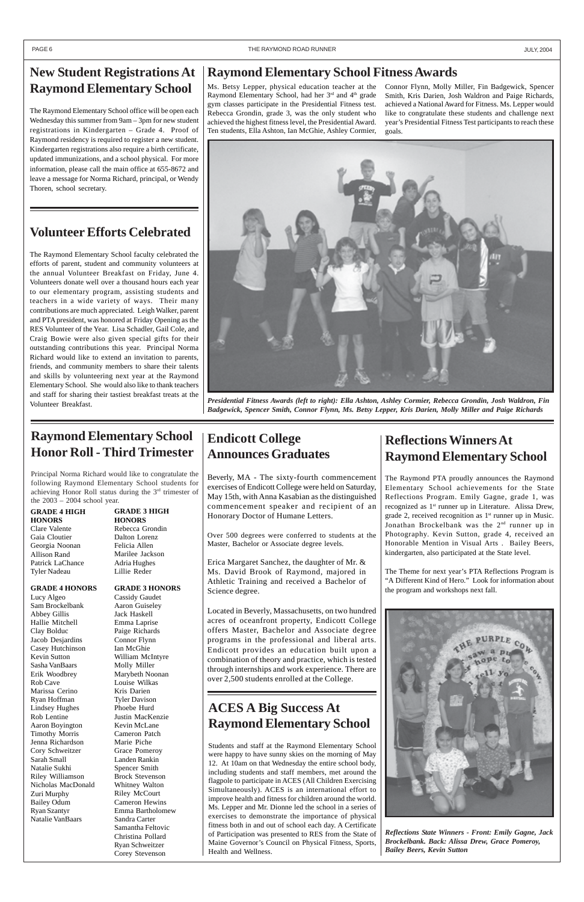### **Endicott College Announces Graduates**

Beverly, MA - The sixty-fourth commencement exercises of Endicott College were held on Saturday, May 15th, with Anna Kasabian as the distinguished commencement speaker and recipient of an Honorary Doctor of Humane Letters.

Over 500 degrees were conferred to students at the Master, Bachelor or Associate degree levels.

Erica Margaret Sanchez, the daughter of Mr. & Ms. David Brook of Raymond, majored in Athletic Training and received a Bachelor of Science degree.

Located in Beverly, Massachusetts, on two hundred acres of oceanfront property, Endicott College offers Master, Bachelor and Associate degree programs in the professional and liberal arts. Endicott provides an education built upon a combination of theory and practice, which is tested

through internships and work experience. There are over 2,500 students enrolled at the College.

### **ACES A Big Success At Raymond Elementary School**

Students and staff at the Raymond Elementary School were happy to have sunny skies on the morning of May 12. At 10am on that Wednesday the entire school body, including students and staff members, met around the flagpole to participate in ACES (All Children Exercising Simultaneously). ACES is an international effort to improve health and fitness for children around the world. Ms. Lepper and Mr. Dionne led the school in a series of exercises to demonstrate the importance of physical fitness both in and out of school each day. A Certificate of Participation was presented to RES from the State of Maine Governor's Council on Physical Fitness, Sports, Health and Wellness.

*Reflections State Winners - Front: Emily Gagne, Jack Brockelbank. Back: Alissa Drew, Grace Pomeroy, Bailey Beers, Kevin Sutton*

### **Reflections Winners At Raymond Elementary School**

The Raymond PTA proudly announces the Raymond Elementary School achievements for the State Reflections Program. Emily Gagne, grade 1, was recognized as 1<sup>st</sup> runner up in Literature. Alissa Drew, grade 2, received recognition as  $1<sup>st</sup>$  runner up in Music. Jonathan Brockelbank was the 2nd runner up in Photography. Kevin Sutton, grade 4, received an Honorable Mention in Visual Arts . Bailey Beers, kindergarten, also participated at the State level.

The Theme for next year's PTA Reflections Program is "A Different Kind of Hero." Look for information about the program and workshops next fall.



#### PAGE 6 THE RAYMOND ROAD RUNNER THE RAYMOND ROAD RUNNER THE SAME RAYMOND ROAD RUNNER THE SAME RAYMOND ROAD RUNNER

### **New Student Registrations At Raymond Elementary School**

The Raymond Elementary School office will be open each Wednesday this summer from 9am – 3pm for new student registrations in Kindergarten – Grade 4. Proof of Raymond residency is required to register a new student. Kindergarten registrations also require a birth certificate, updated immunizations, and a school physical. For more information, please call the main office at 655-8672 and leave a message for Norma Richard, principal, or Wendy Thoren, school secretary.

### **Raymond Elementary School Honor Roll - Third Trimester**

Principal Norma Richard would like to congratulate the following Raymond Elementary School students for achieving Honor Roll status during the 3rd trimester of the 2003 – 2004 school year.

### **Volunteer Efforts Celebrated**

The Raymond Elementary School faculty celebrated the efforts of parent, student and community volunteers at the annual Volunteer Breakfast on Friday, June 4. Volunteers donate well over a thousand hours each year to our elementary program, assisting students and teachers in a wide variety of ways. Their many contributions are much appreciated. Leigh Walker, parent and PTA president, was honored at Friday Opening as the RES Volunteer of the Year. Lisa Schadler, Gail Cole, and Craig Bowie were also given special gifts for their outstanding contributions this year. Principal Norma Richard would like to extend an invitation to parents, friends, and community members to share their talents and skills by volunteering next year at the Raymond Elementary School. She would also like to thank teachers and staff for sharing their tastiest breakfast treats at the



Volunteer Breakfast. *Presidential Fitness Awards (left to right): Ella Ashton, Ashley Cormier, Rebecca Grondin, Josh Waldron, Fin Badgewick, Spencer Smith, Connor Flynn, Ms. Betsy Lepper, Kris Darien, Molly Miller and Paige Richards*

### **Raymond Elementary School Fitness Awards**

Ms. Betsy Lepper, physical education teacher at the Raymond Elementary School, had her 3<sup>rd</sup> and 4<sup>th</sup> grade gym classes participate in the Presidential Fitness test. Rebecca Grondin, grade 3, was the only student who achieved the highest fitness level, the Presidential Award. Ten students, Ella Ashton, Ian McGhie, Ashley Cormier,

Connor Flynn, Molly Miller, Fin Badgewick, Spencer Smith, Kris Darien, Josh Waldron and Paige Richards, achieved a National Award for Fitness. Ms. Lepper would like to congratulate these students and challenge next year's Presidential Fitness Test participants to reach these goals.

#### **GRADE 4 HIGH HONORS** Clare Valente Gaia Cloutier Georgia Noonan Allison Rand Patrick LaChance Tyler Nadeau

#### **GRADE 4 HONORS**

Lucy Algeo Sam Brockelbank Abbey Gillis Hallie Mitchell Clay Bolduc Jacob Desjardins Casey Hutchinson Kevin Sutton

Sasha VanBaars Erik Woodbrey Rob Cave Marissa Cerino Ryan Hoffman Lindsey Hughes Rob Lentine Aaron Boyington Timothy Morris Jenna Richardson Cory Schweitzer Sarah Small Natalie Sukhi Riley Williamson Nicholas MacDonald Zuri Murphy Bailey Odum Ryan Szantyr Natalie VanBaars

#### **GRADE 3 HIGH HONORS** Rebecca Grondin Dalton Lorenz Felicia Allen Marilee Jackson

Adria Hughes Lillie Reder

#### **GRADE 3 HONORS**

Cassidy Gaudet Aaron Guiseley Jack Haskell Emma Laprise Paige Richards Connor Flynn Ian McGhie William McIntyre

Molly Miller Marybeth Noonan Louise Wilkas Kris Darien Tyler Davison Phoebe Hurd Justin MacKenzie Kevin McLane Cameron Patch Marie Piche Grace Pomeroy Landen Rankin Spencer Smith Brock Stevenson Whitney Walton Riley McCourt Cameron Hewins Emma Bartholomew Sandra Carter Samantha Feltovic Christina Pollard Ryan Schweitzer Corey Stevenson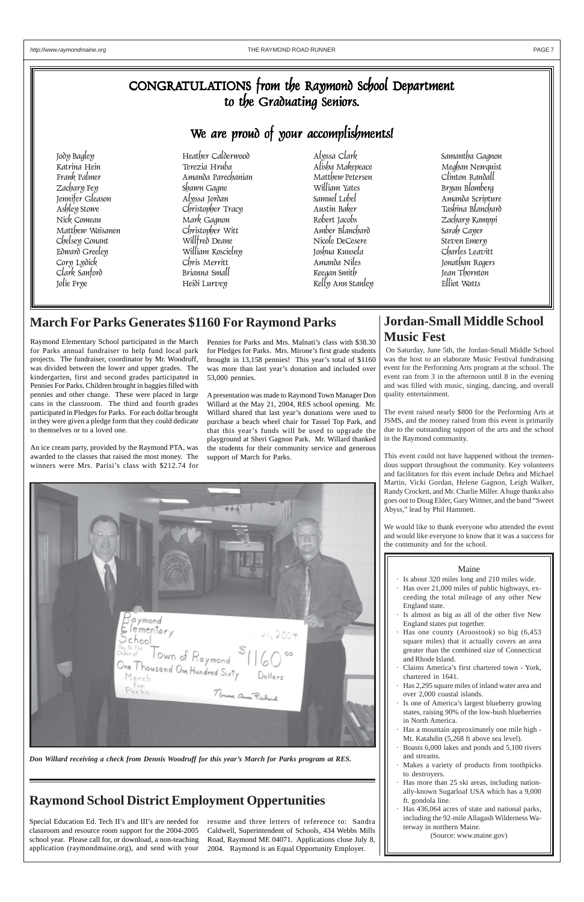### CONGRATULATIONS from the Raymond School Department to the Graduating Seniors.

## We are proud of your accomplishments!

Jody Bagley Heather Calderwood Alyssa Clark Samantha Gagnon Matthew Waisanen Christopher Witt Amber Blanchard Sarah Cayer Edward Greeley William Koscielny Joshua Kuusela Charles Leavitt Jolie Frye Kelly Ann Stanley

Katrina Hein Terezia Hruba Alisha Makepeace Meghan Newquist Frank Palmer Amanda Parechanian Matthew Petersen Clinton Randall Zachary Fey Shawn Gagne William Yates Bryan Blomberg Jennifer Gleason Alyssa Jordan Samuel Lobel Amanda Scripture Ashley Stowe Christopher Tracy Austin Baker Tashina Blanchard Nick Comeau Mark Gagnon Robert Jacobs Zachary Kamppi Chelsey Conant Willfred Deane Nicole DeCesere Steven Emery Clark Sanford Brianna Small Keegan Smith Jean Thornton

Jonathan Rogers

*Don Willard receiving a check from Dennis Woodruff for this year's March for Parks program at RES.*

### **Jordan-Small Middle School Music Fest**

 On Saturday, June 5th, the Jordan-Small Middle School was the host to an elaborate Music Festival fundraising event for the Performing Arts program at the school. The event ran from 3 in the afternoon until 8 in the evening and was filled with music, singing, dancing, and overall quality entertainment.

The event raised nearly \$800 for the Performing Arts at JSMS, and the money raised from this event is primarily due to the outstanding support of the arts and the school in the Raymond community.

This event could not have happened without the tremendous support throughout the community. Key volunteers and facilitators for this event include Debra and Michael Martin, Vicki Gordan, Helene Gagnon, Leigh Walker, Randy Crockett, and Mr. Charlie Miller. A huge thanks also goes out to Doug Elder, Gary Wittner, and the band "Sweet Abyss," lead by Phil Hammett.

We would like to thank everyone who attended the event and would like everyone to know that it was a success for the community and for the school.

### **Raymond School District Employment Oppertunities**

### **March For Parks Generates \$1160 For Raymond Parks**

- Claims America's first chartered town York, chartered in 1641.
- Has 2,295 square miles of inland water area and over 2,000 coastal islands.
- Is one of America's largest blueberry growing states, raising 90% of the low-bush blueberries in North America.
- Has a mountain approximately one mile high -Mt. Katahdin (5,268 ft above sea level).
- Boasts 6,000 lakes and ponds and 5,100 rivers and streams.
- Makes a variety of products from toothpicks to destroyers.
- Has more than 25 ski areas, including nationally-known Sugarloaf USA which has a 9,000 ft. gondola line.
- Has 436,064 acres of state and national parks, including the 92-mile Allagash Wilderness Waterway in northern Maine.

Raymond Elementary School participated in the March for Parks annual fundraiser to help fund local park projects. The fundraiser, coordinator by Mr. Woodruff, was divided between the lower and upper grades. The kindergarten, first and second grades participated in Pennies For Parks. Children brought in baggies filled with pennies and other change. These were placed in large cans in the classroom. The third and fourth grades participated in Pledges for Parks. For each dollar brought in they were given a pledge form that they could dedicate to themselves or to a loved one.

An ice cream party, provided by the Raymond PTA, was awarded to the classes that raised the most money. The winners were Mrs. Parisi's class with \$212.74 for

Pennies for Parks and Mrs. Malnati's class with \$38.30 for Pledges for Parks. Mrs. Mirone's first grade students brought in 13,158 pennies! This year's total of \$1160 was more than last year's donation and included over 53,000 pennies.

A presentation was made to Raymond Town Manager Don Willard at the May 21, 2004, RES school opening. Mr. Willard shared that last year's donations were used to purchase a beach wheel chair for Tassel Top Park, and that this year's funds will be used to upgrade the playground at Sheri Gagnon Park. Mr. Willard thanked the students for their community service and generous support of March for Parks.



Special Education Ed. Tech II's and III's are needed for resume and three letters of reference to: Sandra classroom and resource room support for the 2004-2005 school year. Please call for, or download, a non-teaching application (raymondmaine.org), and send with your

Caldwell, Superintendent of Schools, 434 Webbs Mills Road, Raymond ME 04071. Applications close July 8, 2004. Raymond is an Equal Opportunity Employer.

#### Maine

- · Is about 320 miles long and 210 miles wide.
- Has over 21,000 miles of public highways, exceeding the total mileage of any other New England state.
- Is almost as big as all of the other five New England states put together.
- Has one county (Aroostook) so big  $(6, 453)$ square miles) that it actually covers an area greater than the combined size of Connecticut and Rhode Island.

(Source: www.maine.gov)